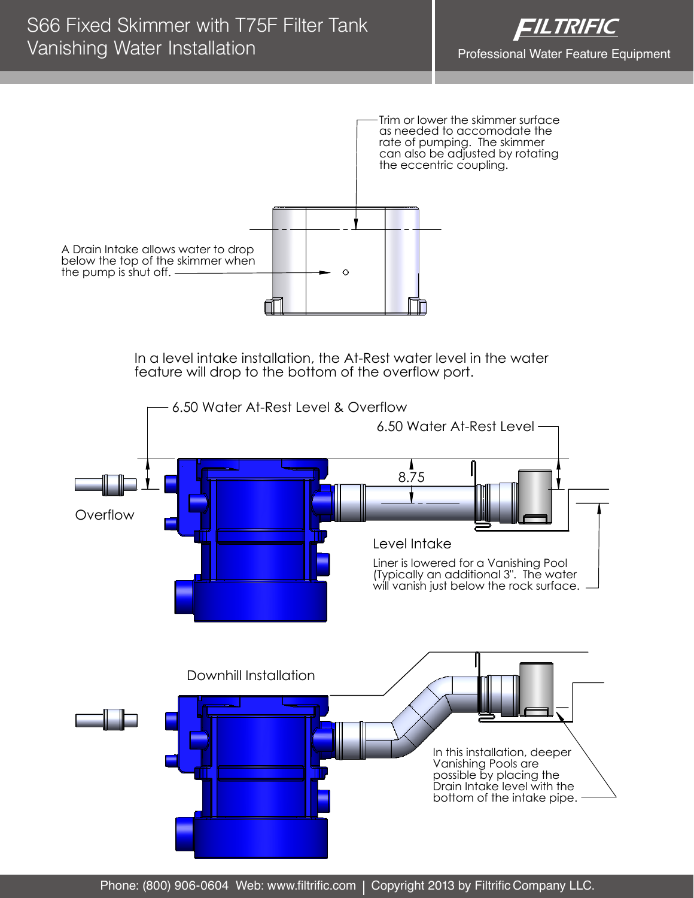

In a level intake installation, the At-Rest water level in the water feature will drop to the bottom of the overflow port.



Phone: (800) 906-0604 Web: www.filtrific.com | Copyright 2013 by Filtrific Company LLC.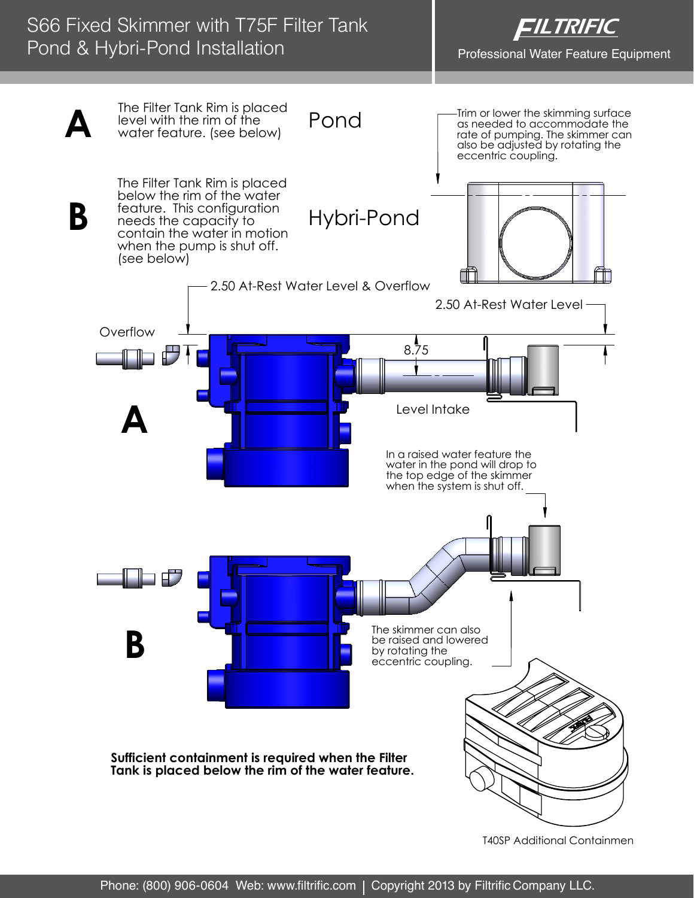## S66 Fixed Skimmer with T75F Filter Tank Pond & Hybri-Pond Installation





**T40SP Additional Containmen**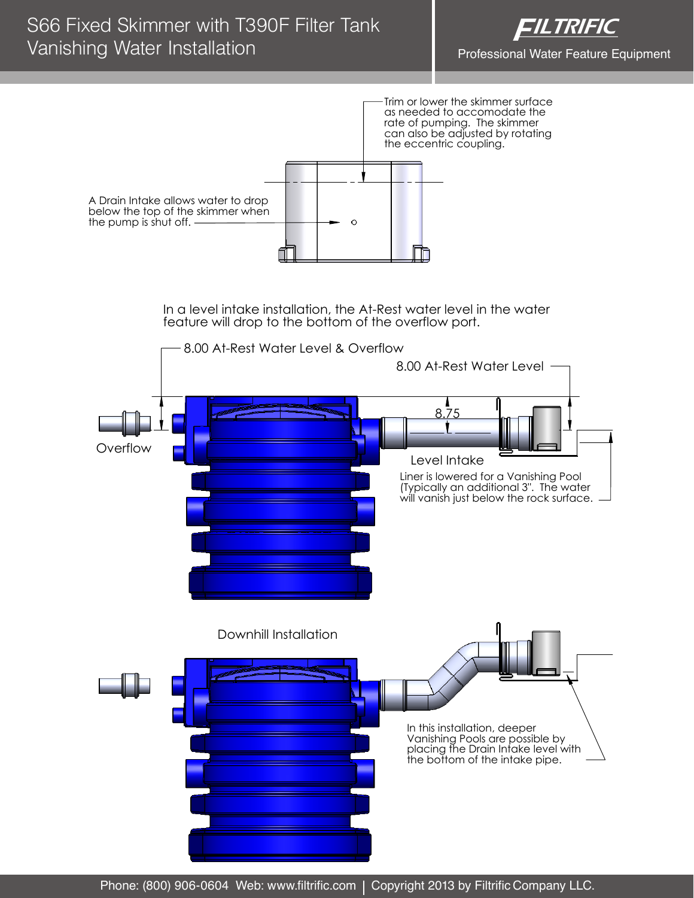

Trim or lower the skimmer surface as needed to accomodate the rate of pumping. The skimmer can also be adjusted by rotating the eccentric coupling.